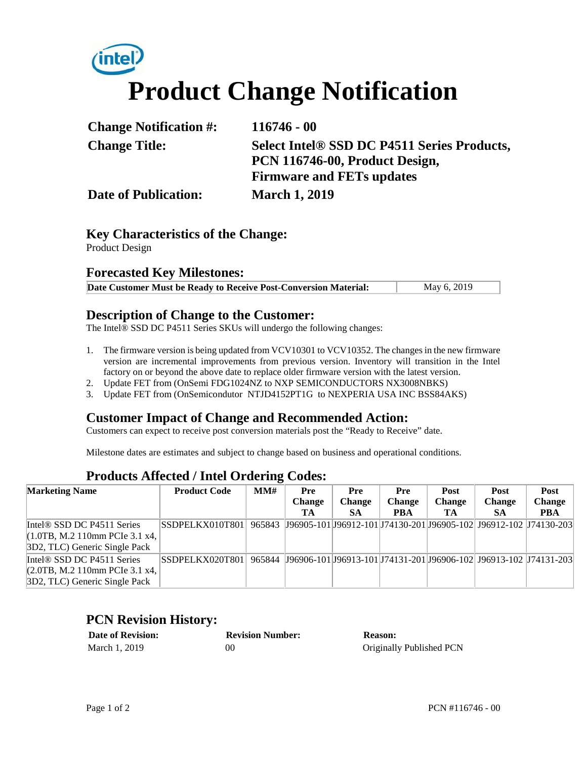# **intel Product Change Notification**

| <b>Change Notification #:</b> | $116746 - 00$                                           |
|-------------------------------|---------------------------------------------------------|
| <b>Change Title:</b>          | Select Intel <sup>®</sup> SSD DC P4511 Series Products, |
|                               | PCN 116746-00, Product Design,                          |
|                               | <b>Firmware and FETs updates</b>                        |
| <b>Date of Publication:</b>   | <b>March 1, 2019</b>                                    |

# **Key Characteristics of the Change:**

Product Design

#### **Forecasted Key Milestones:**

| Date Customer Must be Ready to Receive Post-Conversion Material: | May 6, 2019 |
|------------------------------------------------------------------|-------------|
|------------------------------------------------------------------|-------------|

## **Description of Change to the Customer:**

The Intel® SSD DC P4511 Series SKUs will undergo the following changes:

- 1. The firmware version is being updated from VCV10301 to VCV10352. The changes in the new firmware version are incremental improvements from previous version. Inventory will transition in the Intel factory on or beyond the above date to replace older firmware version with the latest version.
- 2. Update FET from (OnSemi FDG1024NZ to NXP SEMICONDUCTORS NX3008NBKS)
- 3. Update FET from (OnSemicondutor NTJD4152PT1G to NEXPERIA USA INC BSS84AKS)

### **Customer Impact of Change and Recommended Action:**

Customers can expect to receive post conversion materials post the "Ready to Receive" date.

Milestone dates are estimates and subject to change based on business and operational conditions.

#### **Products Affected / Intel Ordering Codes:**

| <b>Marketing Name</b>                  | <b>Product Code</b> | MMH | <b>Pre</b>    | Pre           | Pre           | <b>Post</b>   | <b>Post</b>                                                                | Post          |
|----------------------------------------|---------------------|-----|---------------|---------------|---------------|---------------|----------------------------------------------------------------------------|---------------|
|                                        |                     |     | <b>Change</b> | <b>Change</b> | <b>Change</b> | <b>Change</b> | <b>Change</b>                                                              | <b>Change</b> |
|                                        |                     |     | TA            | <b>SA</b>     | <b>PBA</b>    | TA            | <b>SA</b>                                                                  | <b>PBA</b>    |
| Intel <sup>®</sup> SSD DC P4511 Series | SSDPELKX010T801     |     |               |               |               |               | 965843  J96905-101 J96912-101 J74130-201 J96905-102 J96912-102  J74130-203 |               |
| $(1.0TB, M.2 110mm$ PCIe 3.1 x4.       |                     |     |               |               |               |               |                                                                            |               |
| 3D2, TLC) Generic Single Pack          |                     |     |               |               |               |               |                                                                            |               |
| Intel <sup>®</sup> SSD DC P4511 Series | SSDPELKX020T801     |     |               |               |               |               | 965844 J96906-101 J96913-101 J74131-201 J96906-102 J96913-102 J74131-203   |               |
| $(2.0TB, M.2 110mm$ PCIe 3.1 x4,       |                     |     |               |               |               |               |                                                                            |               |
| 3D2, TLC) Generic Single Pack          |                     |     |               |               |               |               |                                                                            |               |

#### **PCN Revision History:**

| <b>Date of Revision:</b> | <b>Revision Number:</b> | Reason:                  |
|--------------------------|-------------------------|--------------------------|
| March 1, 2019            | 00                      | Originally Published PCN |